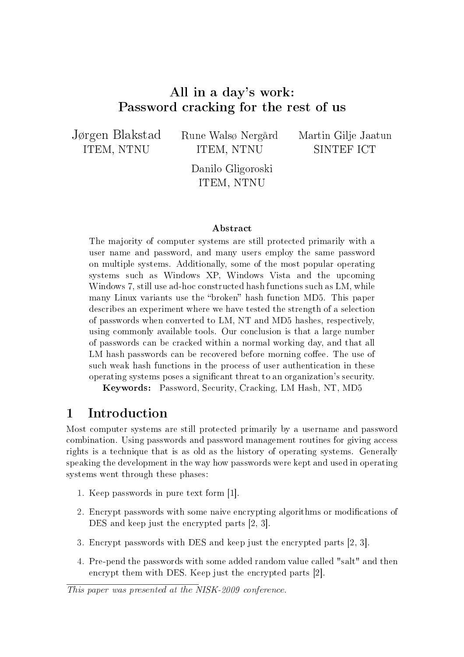# All in a day's work: Password cracking for the rest of us

Jørgen Blakstad ITEM, NTNU

Rune Walsø Nergård ITEM, NTNU

Martin Gilje Jaatun SINTEF ICT

Danilo Gligoroski ITEM, NTNU

#### Abstract

The majority of computer systems are still protected primarily with a user name and password, and many users employ the same password on multiple systems. Additionally, some of the most popular operating systems such as Windows XP, Windows Vista and the upcoming Windows 7, still use ad-hoc constructed hash functions such as LM, while many Linux variants use the "broken" hash function MD5. This paper describes an experiment where we have tested the strength of a selection of passwords when converted to LM, NT and MD5 hashes, respectively, using commonly available tools. Our conclusion is that a large number of passwords can be cracked within a normal working day, and that all LM hash passwords can be recovered before morning coffee. The use of such weak hash functions in the process of user authentication in these operating systems poses a signicant threat to an organization's security.

Keywords: Password, Security, Cracking, LM Hash, NT, MD5

# 1 Introduction

Most computer systems are still protected primarily by a username and password combination. Using passwords and password management routines for giving access rights is a technique that is as old as the history of operating systems. Generally speaking the development in the way how passwords were kept and used in operating systems went through these phases:

- 1. Keep passwords in pure text form [1].
- 2. Encrypt passwords with some naive encrypting algorithms or modications of DES and keep just the encrypted parts [2, 3].
- 3. Encrypt passwords with DES and keep just the encrypted parts [2, 3].
- 4. Pre-pend the passwords with some added random value called "salt" and then encrypt them with DES. Keep just the encrypted parts [2].

This paper was presented at the NISK-2009 conference.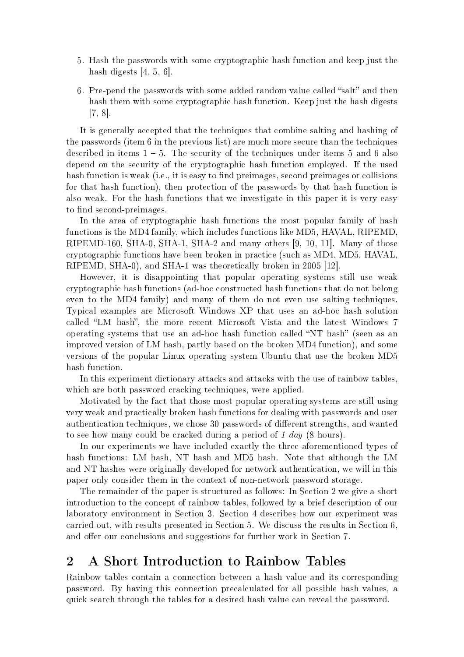- 5. Hash the passwords with some cryptographic hash function and keep just the hash digests  $[4, 5, 6]$ .
- 6. Pre-pend the passwords with some added random value called "salt" and then hash them with some cryptographic hash function. Keep just the hash digests [7, 8].

It is generally accepted that the techniques that combine salting and hashing of the passwords (item 6 in the previous list) are much more secure than the techniques described in items  $1 - 5$ . The security of the techniques under items 5 and 6 also depend on the security of the cryptographic hash function employed. If the used hash function is weak (i.e., it is easy to find preimages, second preimages or collisions for that hash function), then protection of the passwords by that hash function is also weak. For the hash functions that we investigate in this paper it is very easy to find second-preimages.

In the area of cryptographic hash functions the most popular family of hash functions is the MD4 family, which includes functions like MD5, HAVAL, RIPEMD, RIPEMD-160, SHA-0, SHA-1, SHA-2 and many others [9, 10, 11]. Many of those cryptographic functions have been broken in practice (such as MD4, MD5, HAVAL, RIPEMD, SHA-0), and SHA-1 was theoretically broken in 2005 [12].

However, it is disappointing that popular operating systems still use weak cryptographic hash functions (ad-hoc constructed hash functions that do not belong even to the MD4 family) and many of them do not even use salting techniques. Typical examples are Microsoft Windows XP that uses an ad-hoc hash solution called "LM hash", the more recent Microsoft Vista and the latest Windows 7 operating systems that use an ad-hoc hash function called "NT hash" (seen as an improved version of LM hash, partly based on the broken MD4 function), and some versions of the popular Linux operating system Ubuntu that use the broken MD5 hash function.

In this experiment dictionary attacks and attacks with the use of rainbow tables, which are both password cracking techniques, were applied.

Motivated by the fact that those most popular operating systems are still using very weak and practically broken hash functions for dealing with passwords and user authentication techniques, we chose 30 passwords of different strengths, and wanted to see how many could be cracked during a period of 1 day (8 hours).

In our experiments we have included exactly the three aforementioned types of hash functions: LM hash, NT hash and MD5 hash. Note that although the LM and NT hashes were originally developed for network authentication, we will in this paper only consider them in the context of non-network password storage.

The remainder of the paper is structured as follows: In Section 2 we give a short introduction to the concept of rainbow tables, followed by a brief description of our laboratory environment in Section 3. Section 4 describes how our experiment was carried out, with results presented in Section 5. We discuss the results in Section 6, and offer our conclusions and suggestions for further work in Section 7.

# 2 A Short Introduction to Rainbow Tables

Rainbow tables contain a connection between a hash value and its corresponding password. By having this connection precalculated for all possible hash values, a quick search through the tables for a desired hash value can reveal the password.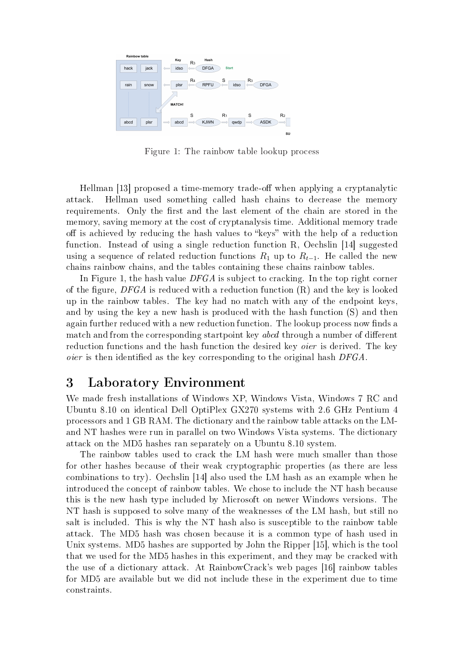

Figure 1: The rainbow table lookup process

Hellman [13] proposed a time-memory trade-off when applying a cryptanalytic attack. Hellman used something called hash chains to decrease the memory requirements. Only the first and the last element of the chain are stored in the memory, saving memory at the cost of cryptanalysis time. Additional memory trade off is achieved by reducing the hash values to "keys" with the help of a reduction function. Instead of using a single reduction function R, Oechslin [14] suggested using a sequence of related reduction functions  $R_1$  up to  $R_{t-1}$ . He called the new chains rainbow chains, and the tables containing these chains rainbow tables.

In Figure 1, the hash value  $DFGA$  is subject to cracking. In the top right corner of the figure, DFGA is reduced with a reduction function  $(R)$  and the key is looked up in the rainbow tables. The key had no match with any of the endpoint keys, and by using the key a new hash is produced with the hash function (S) and then again further reduced with a new reduction function. The lookup process now finds a match and from the corresponding startpoint key abcd through a number of different reduction functions and the hash function the desired key *oier* is derived. The key oier is then identified as the key corresponding to the original hash  $DFGA$ .

# 3 Laboratory Environment

We made fresh installations of Windows XP, Windows Vista, Windows 7 RC and Ubuntu 8.10 on identical Dell OptiPlex GX270 systems with 2.6 GHz Pentium 4 processors and 1 GB RAM. The dictionary and the rainbow table attacks on the LMand NT hashes were run in parallel on two Windows Vista systems. The dictionary attack on the MD5 hashes ran separately on a Ubuntu 8.10 system.

The rainbow tables used to crack the LM hash were much smaller than those for other hashes because of their weak cryptographic properties (as there are less combinations to try). Oechslin [14] also used the LM hash as an example when he introduced the concept of rainbow tables. We chose to include the NT hash because this is the new hash type included by Microsoft on newer Windows versions. The NT hash is supposed to solve many of the weaknesses of the LM hash, but still no salt is included. This is why the NT hash also is susceptible to the rainbow table attack. The MD5 hash was chosen because it is a common type of hash used in Unix systems. MD5 hashes are supported by John the Ripper [15], which is the tool that we used for the MD5 hashes in this experiment, and they may be cracked with the use of a dictionary attack. At RainbowCrack's web pages [16] rainbow tables for MD5 are available but we did not include these in the experiment due to time constraints.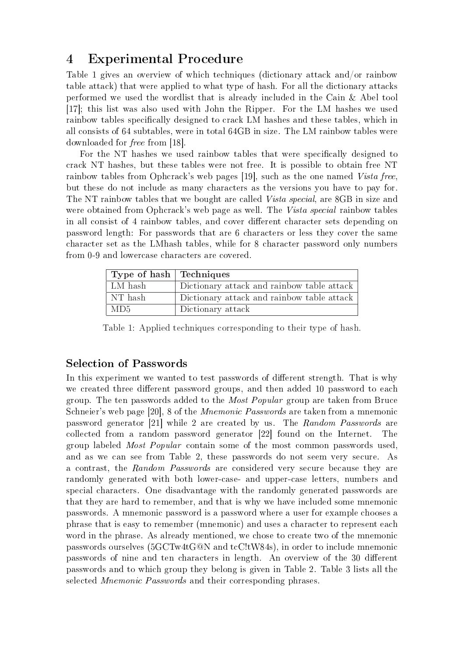# 4 Experimental Procedure

Table 1 gives an overview of which techniques (dictionary attack and/or rainbow table attack) that were applied to what type of hash. For all the dictionary attacks performed we used the wordlist that is already included in the Cain & Abel tool [17]; this list was also used with John the Ripper. For the LM hashes we used rainbow tables specifically designed to crack LM hashes and these tables, which in all consists of 64 subtables, were in total 64GB in size. The LM rainbow tables were downloaded for free from [18].

For the NT hashes we used rainbow tables that were specifically designed to crack NT hashes, but these tables were not free. It is possible to obtain free NT rainbow tables from Ophcrack's web pages [19], such as the one named Vista free, but these do not include as many characters as the versions you have to pay for. The NT rainbow tables that we bought are called Vista special, are 8GB in size and were obtained from Ophcrack's web page as well. The Vista special rainbow tables in all consist of 4 rainbow tables, and cover different character sets depending on password length: For passwords that are 6 characters or less they cover the same character set as the LMhash tables, while for 8 character password only numbers from 0-9 and lowercase characters are covered.

| Type of hash Techniques |                                            |
|-------------------------|--------------------------------------------|
| LM hash                 | Dictionary attack and rainbow table attack |
| NT hash                 | Dictionary attack and rainbow table attack |
| MD5                     | Dictionary attack                          |

Table 1: Applied techniques corresponding to their type of hash.

### Selection of Passwords

In this experiment we wanted to test passwords of different strength. That is why we created three different password groups, and then added 10 password to each group. The ten passwords added to the Most Popular group are taken from Bruce Schneier's web page [20], 8 of the Mnemonic Passwords are taken from a mnemonic password generator [21] while 2 are created by us. The Random Passwords are collected from a random password generator [22] found on the Internet. The group labeled Most Popular contain some of the most common passwords used, and as we can see from Table 2, these passwords do not seem very secure. As a contrast, the Random Passwords are considered very secure because they are randomly generated with both lower-case- and upper-case letters, numbers and special characters. One disadvantage with the randomly generated passwords are that they are hard to remember, and that is why we have included some mnemonic passwords. A mnemonic password is a password where a user for example chooses a phrase that is easy to remember (mnemonic) and uses a character to represent each word in the phrase. As already mentioned, we chose to create two of the mnemonic passwords ourselves (5GCTw4tG@N and tcC!tW84s), in order to include mnemonic passwords of nine and ten characters in length. An overview of the 30 different passwords and to which group they belong is given in Table 2. Table 3 lists all the selected Mnemonic Passwords and their corresponding phrases.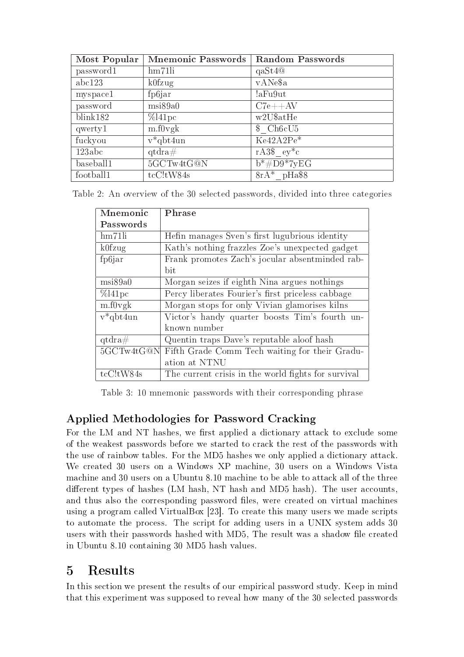| Most Popular | <b>Mnemonic Passwords</b> | <b>Random Passwords</b> |
|--------------|---------------------------|-------------------------|
| password1    | hm71li                    | $q$ aSt $4@$            |
| abc123       | $k0$ fzug                 | vANe\$a                 |
| myspace1     | fp6jar                    | !aFu9ut                 |
| password     | msi89a0                   | $C7e++AV$               |
| blink182     | $\%$ l41pc                | w2U\$atHe               |
| qwerty1      | m.f0vgk                   | \$Ch6cU5                |
| fuckyou      | $v^*$ qbt4un              | $Ke42A2Pe*$             |
| 123abc       | $qtdra\#$                 | $rA3\$ $ey^*c$          |
| baseball1    | 5GCTw4tG@N                | $b* \# D9* 7yEG$        |
| football1    | $tcC$ ! $tW84s$           | $8rA*$ pHa\$8           |

Table 2: An overview of the 30 selected passwords, divided into three categories

| Mnemonic         | Phrase                                              |  |  |
|------------------|-----------------------------------------------------|--|--|
| Passwords        |                                                     |  |  |
| hm71li           | Hefin manages Sven's first lugubrious identity      |  |  |
| $k0$ fzug        | Kath's nothing frazzles Zoe's unexpected gadget     |  |  |
| fp6jar           | Frank promotes Zach's jocular absentminded rab-     |  |  |
|                  | bit                                                 |  |  |
| msi89a0          | Morgan seizes if eighth Nina argues nothings        |  |  |
| $\%$ 141 pc      | Percy liberates Fourier's first priceless cabbage   |  |  |
| m.f0vgk          | Morgan stops for only Vivian glamorises kilns       |  |  |
| $v^*$ qbt $4$ un | Victor's handy quarter boosts Tim's fourth un-      |  |  |
|                  | known number                                        |  |  |
| $qtdra\#$        | Quentin traps Dave's reputable aloof hash           |  |  |
| 5GCTw4tG@N       | Fifth Grade Comm Tech waiting for their Gradu-      |  |  |
|                  | ation at NTNU                                       |  |  |
| $tcC$ ! $tW84s$  | The current crisis in the world fights for survival |  |  |

Table 3: 10 mnemonic passwords with their corresponding phrase

# Applied Methodologies for Password Cracking

For the LM and NT hashes, we first applied a dictionary attack to exclude some of the weakest passwords before we started to crack the rest of the passwords with the use of rainbow tables. For the MD5 hashes we only applied a dictionary attack. We created 30 users on a Windows XP machine, 30 users on a Windows Vista machine and 30 users on a Ubuntu 8.10 machine to be able to attack all of the three different types of hashes (LM hash, NT hash and MD5 hash). The user accounts, and thus also the corresponding password files, were created on virtual machines using a program called VirtualBox [23]. To create this many users we made scripts to automate the process. The script for adding users in a UNIX system adds 30 users with their passwords hashed with MD5, The result was a shadow file created in Ubuntu 8.10 containing 30 MD5 hash values.

# 5 Results

In this section we present the results of our empirical password study. Keep in mind that this experiment was supposed to reveal how many of the 30 selected passwords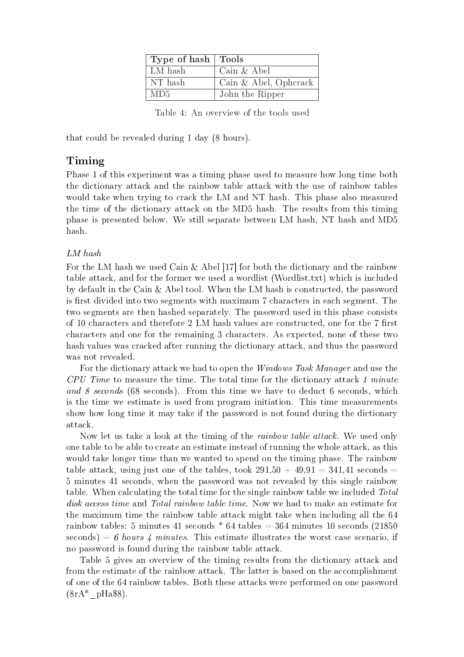| Type of hash   Tools |                       |
|----------------------|-----------------------|
| LM hash              | Cain & Abel           |
| NT hash              | Cain & Abel, Ophcrack |
| MD5                  | John the Ripper       |

Table 4: An overview of the tools used

that could be revealed during 1 day (8 hours).

## Timing

Phase 1 of this experiment was a timing phase used to measure how long time both the dictionary attack and the rainbow table attack with the use of rainbow tables would take when trying to crack the LM and NT hash. This phase also measured the time of the dictionary attack on the MD5 hash. The results from this timing phase is presented below. We still separate between LM hash, NT hash and MD5 hash.

#### LM hash

For the LM hash we used Cain  $\&$  Abel [17] for both the dictionary and the rainbow table attack, and for the former we used a wordlist (Wordlist.txt) which is included by default in the Cain & Abel tool. When the LM hash is constructed, the password is first divided into two segments with maximum 7 characters in each segment. The two segments are then hashed separately. The password used in this phase consists of 10 characters and therefore  $2 \text{ LM}$  hash values are constructed, one for the 7 first characters and one for the remaining 3 characters. As expected, none of these two hash values was cracked after running the dictionary attack, and thus the password was not revealed.

For the dictionary attack we had to open the *Windows Task Manager* and use the CPU Time to measure the time. The total time for the dictionary attack 1 minute and 8 seconds (68 seconds). From this time we have to deduct 6 seconds, which is the time we estimate is used from program initiation. This time measurements show how long time it may take if the password is not found during the dictionary attack.

Now let us take a look at the timing of the *rainbow table attack*. We used only one table to be able to create an estimate instead of running the whole attack, as this would take longer time than we wanted to spend on the timing phase. The rainbow table attack, using just one of the tables, took  $291.50 + 49.91 = 341.41$  seconds = 5 minutes 41 seconds, when the password was not revealed by this single rainbow table. When calculating the total time for the single rainbow table we included Total disk access time and Total rainbow table time. Now we had to make an estimate for the maximum time the rainbow table attack might take when including all the 64 rainbow tables: 5 minutes 41 seconds  $*$  64 tables = 364 minutes 10 seconds (21850) seconds) = 6 hours 4 minutes. This estimate illustrates the worst case scenario, if no password is found during the rainbow table attack.

Table 5 gives an overview of the timing results from the dictionary attack and from the estimate of the rainbow attack. The latter is based on the accomplishment of one of the 64 rainbow tables. Both these attacks were performed on one password  $(8rA^*$  pHa\$8).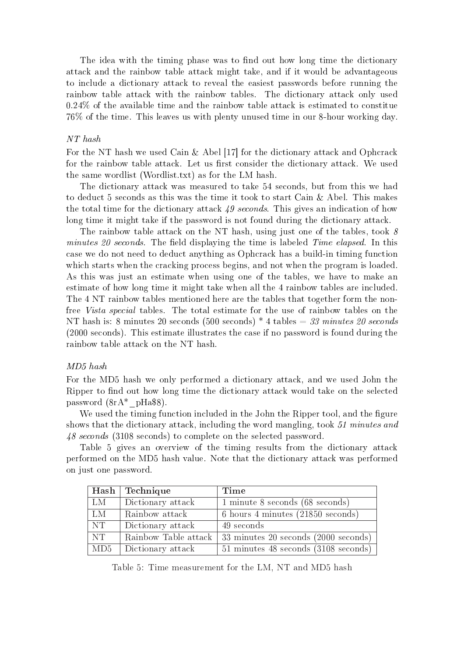The idea with the timing phase was to find out how long time the dictionary attack and the rainbow table attack might take, and if it would be advantageous to include a dictionary attack to reveal the easiest passwords before running the rainbow table attack with the rainbow tables. The dictionary attack only used 0.24% of the available time and the rainbow table attack is estimated to constitue 76% of the time. This leaves us with plenty unused time in our 8-hour working day.

#### NT hash

For the NT hash we used Cain & Abel [17] for the dictionary attack and Ophcrack for the rainbow table attack. Let us first consider the dictionary attack. We used the same wordlist (Wordlist.txt) as for the LM hash.

The dictionary attack was measured to take 54 seconds, but from this we had to deduct 5 seconds as this was the time it took to start Cain & Abel. This makes the total time for the dictionary attack 49 seconds. This gives an indication of how long time it might take if the password is not found during the dictionary attack.

The rainbow table attack on the NT hash, using just one of the tables, took  $\delta$ minutes 20 seconds. The field displaying the time is labeled  $Time$  elapsed. In this case we do not need to deduct anything as Ophcrack has a build-in timing function which starts when the cracking process begins, and not when the program is loaded. As this was just an estimate when using one of the tables, we have to make an estimate of how long time it might take when all the 4 rainbow tables are included. The 4 NT rainbow tables mentioned here are the tables that together form the nonfree Vista special tables. The total estimate for the use of rainbow tables on the NT hash is: 8 minutes 20 seconds (500 seconds)  $*$  4 tables = 33 minutes 20 seconds (2000 seconds). This estimate illustrates the case if no password is found during the rainbow table attack on the NT hash.

#### MD5 hash

For the MD5 hash we only performed a dictionary attack, and we used John the Ripper to find out how long time the dictionary attack would take on the selected password (8rA\*\_pHa\$8).

We used the timing function included in the John the Ripper tool, and the figure shows that the dictionary attack, including the word mangling, took 51 minutes and 48 seconds (3108 seconds) to complete on the selected password.

Table 5 gives an overview of the timing results from the dictionary attack performed on the MD5 hash value. Note that the dictionary attack was performed on just one password.

|                | Hash Technique    | Time                                                        |
|----------------|-------------------|-------------------------------------------------------------|
| LM             | Dictionary attack | 1 minute 8 seconds (68 seconds)                             |
| L <sub>M</sub> | Rainbow attack    | 6 hours 4 minutes (21850 seconds)                           |
| NT             | Dictionary attack | 49 seconds                                                  |
| NT             |                   | Rainbow Table attack   33 minutes 20 seconds (2000 seconds) |
| MD5            | Dictionary attack | 51 minutes 48 seconds (3108 seconds)                        |

Table 5: Time measurement for the LM, NT and MD5 hash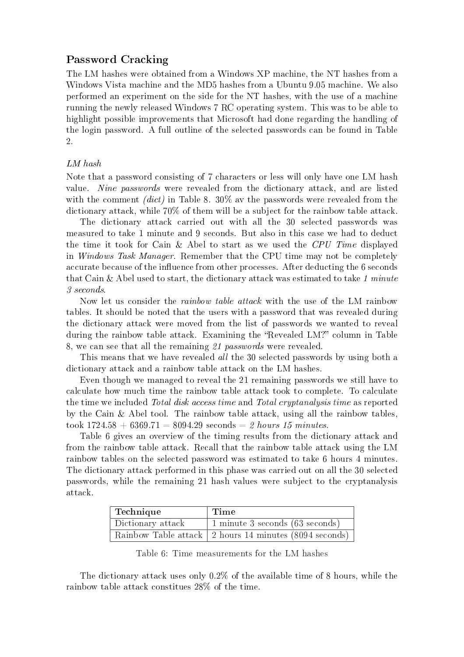## Password Cracking

The LM hashes were obtained from a Windows XP machine, the NT hashes from a Windows Vista machine and the MD5 hashes from a Ubuntu 9.05 machine. We also performed an experiment on the side for the NT hashes, with the use of a machine running the newly released Windows 7 RC operating system. This was to be able to highlight possible improvements that Microsoft had done regarding the handling of the login password. A full outline of the selected passwords can be found in Table 2.

#### LM hash

Note that a password consisting of 7 characters or less will only have one LM hash value. Nine passwords were revealed from the dictionary attack, and are listed with the comment *(dict)* in Table 8.  $30\%$  av the passwords were revealed from the dictionary attack, while 70% of them will be a subject for the rainbow table attack.

The dictionary attack carried out with all the 30 selected passwords was measured to take 1 minute and 9 seconds. But also in this case we had to deduct the time it took for Cain & Abel to start as we used the CPU Time displayed in Windows Task Manager. Remember that the CPU time may not be completely accurate because of the influence from other processes. After deducting the 6 seconds that Cain & Abel used to start, the dictionary attack was estimated to take 1 minute 3 seconds.

Now let us consider the rainbow table attack with the use of the LM rainbow tables. It should be noted that the users with a password that was revealed during the dictionary attack were moved from the list of passwords we wanted to reveal during the rainbow table attack. Examining the "Revealed LM?" column in Table 8, we can see that all the remaining 21 passwords were revealed.

This means that we have revealed all the 30 selected passwords by using both a dictionary attack and a rainbow table attack on the LM hashes.

Even though we managed to reveal the 21 remaining passwords we still have to calculate how much time the rainbow table attack took to complete. To calculate the time we included Total disk access time and Total cryptanalysis time as reported by the Cain & Abel tool. The rainbow table attack, using all the rainbow tables, took  $1724.58 + 6369.71 = 8094.29$  seconds  $= 2$  hours 15 minutes.

Table 6 gives an overview of the timing results from the dictionary attack and from the rainbow table attack. Recall that the rainbow table attack using the LM rainbow tables on the selected password was estimated to take 6 hours 4 minutes. The dictionary attack performed in this phase was carried out on all the 30 selected passwords, while the remaining 21 hash values were subject to the cryptanalysis attack.

| Technique         | Time                                                                         |
|-------------------|------------------------------------------------------------------------------|
| Dictionary attack | 1 minute 3 seconds (63 seconds)                                              |
|                   | $\overline{\text{Rainbow}}$ Table attack   2 hours 14 minutes (8094 seconds) |

Table 6: Time measurements for the LM hashes

The dictionary attack uses only 0.2% of the available time of 8 hours, while the rainbow table attack constitues 28% of the time.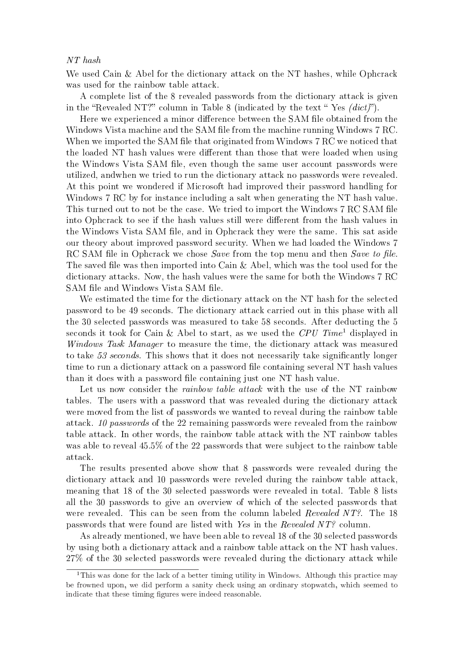#### NT hash

We used Cain & Abel for the dictionary attack on the NT hashes, while Ophcrack was used for the rainbow table attack.

A complete list of the 8 revealed passwords from the dictionary attack is given in the "Revealed NT?" column in Table 8 (indicated by the text "Yes  $(dict)$ ").

Here we experienced a minor difference between the SAM file obtained from the Windows Vista machine and the SAM file from the machine running Windows 7 RC. When we imported the SAM file that originated from Windows 7 RC we noticed that the loaded NT hash values were different than those that were loaded when using the Windows Vista SAM file, even though the same user account passwords were utilized, andwhen we tried to run the dictionary attack no passwords were revealed. At this point we wondered if Microsoft had improved their password handling for Windows 7 RC by for instance including a salt when generating the NT hash value. This turned out to not be the case. We tried to import the Windows 7 RC SAM file into Ophcrack to see if the hash values still were different from the hash values in the Windows Vista SAM file, and in Ophcrack they were the same. This sat aside our theory about improved password security. When we had loaded the Windows 7 RC SAM file in Ophcrack we chose *Save* from the top menu and then *Save to file.* The saved file was then imported into Cain  $\&$  Abel, which was the tool used for the dictionary attacks. Now, the hash values were the same for both the Windows 7 RC SAM file and Windows Vista SAM file.

We estimated the time for the dictionary attack on the NT hash for the selected password to be 49 seconds. The dictionary attack carried out in this phase with all the 30 selected passwords was measured to take 58 seconds. After deducting the 5 seconds it took for Cain & Abel to start, as we used the CPU Time<sup>1</sup> displayed in Windows Task Manager to measure the time, the dictionary attack was measured to take  $53$  seconds. This shows that it does not necessarily take significantly longer time to run a dictionary attack on a password file containing several NT hash values than it does with a password file containing just one NT hash value.

Let us now consider the *rainbow table attack* with the use of the NT rainbow tables. The users with a password that was revealed during the dictionary attack were moved from the list of passwords we wanted to reveal during the rainbow table attack. 10 passwords of the 22 remaining passwords were revealed from the rainbow table attack. In other words, the rainbow table attack with the NT rainbow tables was able to reveal 45.5% of the 22 passwords that were subject to the rainbow table attack.

The results presented above show that 8 passwords were revealed during the dictionary attack and 10 passwords were reveled during the rainbow table attack, meaning that 18 of the 30 selected passwords were revealed in total. Table 8 lists all the 30 passwords to give an overview of which of the selected passwords that were revealed. This can be seen from the column labeled *Revealed NT?*. The 18 passwords that were found are listed with Yes in the Revealed NT? column.

As already mentioned, we have been able to reveal 18 of the 30 selected passwords by using both a dictionary attack and a rainbow table attack on the NT hash values. 27% of the 30 selected passwords were revealed during the dictionary attack while

<sup>&</sup>lt;sup>1</sup>This was done for the lack of a better timing utility in Windows. Although this practice may be frowned upon, we did perform a sanity check using an ordinary stopwatch, which seemed to indicate that these timing figures were indeed reasonable.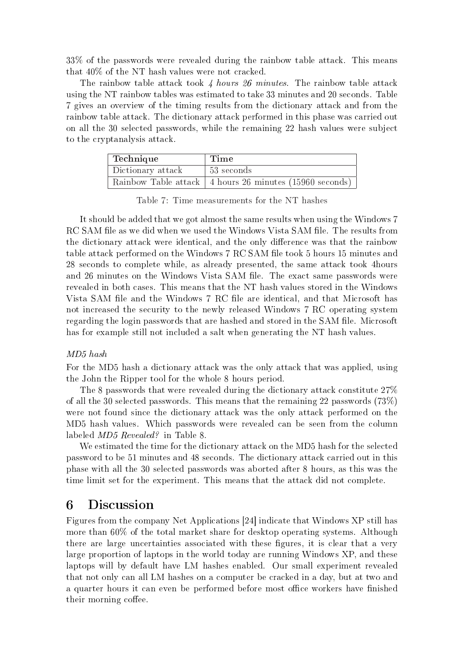33% of the passwords were revealed during the rainbow table attack. This means that 40% of the NT hash values were not cracked.

The rainbow table attack took 4 hours 26 minutes. The rainbow table attack using the NT rainbow tables was estimated to take 33 minutes and 20 seconds. Table 7 gives an overview of the timing results from the dictionary attack and from the rainbow table attack. The dictionary attack performed in this phase was carried out on all the 30 selected passwords, while the remaining 22 hash values were subject to the cryptanalysis attack.

| Technique         | Time                                                      |
|-------------------|-----------------------------------------------------------|
| Dictionary attack | $\frac{1}{53}$ seconds                                    |
|                   | Rainbow Table attack   4 hours 26 minutes (15960 seconds) |

Table 7: Time measurements for the NT hashes

It should be added that we got almost the same results when using the Windows 7 RC SAM file as we did when we used the Windows Vista SAM file. The results from the dictionary attack were identical, and the only difference was that the rainbow table attack performed on the Windows 7 RC SAM file took 5 hours 15 minutes and 28 seconds to complete while, as already presented, the same attack took 4hours and 26 minutes on the Windows Vista SAM file. The exact same passwords were revealed in both cases. This means that the NT hash values stored in the Windows Vista SAM file and the Windows 7 RC file are identical, and that Microsoft has not increased the security to the newly released Windows 7 RC operating system regarding the login passwords that are hashed and stored in the SAM file. Microsoft has for example still not included a salt when generating the NT hash values.

#### MD5 hash

For the MD5 hash a dictionary attack was the only attack that was applied, using the John the Ripper tool for the whole 8 hours period.

The 8 passwords that were revealed during the dictionary attack constitute 27% of all the 30 selected passwords. This means that the remaining 22 passwords (73%) were not found since the dictionary attack was the only attack performed on the MD5 hash values. Which passwords were revealed can be seen from the column labeled MD5 Revealed? in Table 8.

We estimated the time for the dictionary attack on the MD5 hash for the selected password to be 51 minutes and 48 seconds. The dictionary attack carried out in this phase with all the 30 selected passwords was aborted after 8 hours, as this was the time limit set for the experiment. This means that the attack did not complete.

## 6 Discussion

Figures from the company Net Applications [24] indicate that Windows XP still has more than 60% of the total market share for desktop operating systems. Although there are large uncertainties associated with these figures, it is clear that a very large proportion of laptops in the world today are running Windows XP, and these laptops will by default have LM hashes enabled. Our small experiment revealed that not only can all LM hashes on a computer be cracked in a day, but at two and a quarter hours it can even be performed before most office workers have finished their morning coffee.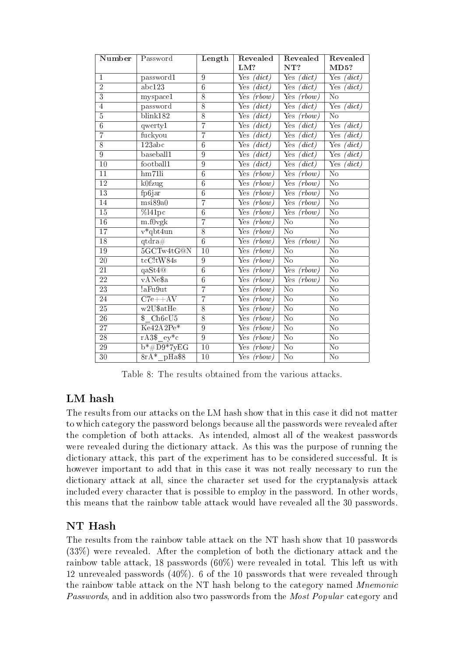| Number                    | Password                                     | Length         | Revealed<br>LM?                                  | Revealed<br>NT?                      | Revealed<br>MD5?                    |
|---------------------------|----------------------------------------------|----------------|--------------------------------------------------|--------------------------------------|-------------------------------------|
| $\mathbf{1}$              | password1                                    | $\overline{9}$ | $\overline{(dict)}$<br>$\overline{\text{Yes}}$   | $\overline{\text{Yes}}$<br>(dict)    | $(\textit{dict})$<br>Yes            |
| $\overline{2}$            | abc123                                       | $\overline{6}$ | Yes<br>$\langle dict\rangle$                     | Yes<br>(dict)                        | Yes<br>(dict)                       |
| $\overline{\overline{3}}$ | myspace1                                     | $\overline{8}$ | Yes<br>(rbow)                                    | $\overline{\text{Yes}}$<br>(rbow)    | $\overline{\text{No}}$              |
| $\overline{4}$            | password                                     | $\overline{8}$ | Yes<br>$\langle dict\rangle$                     | Yes<br>(dict)                        | Yes<br>(dict)                       |
| $\overline{5}$            | blink182                                     | $\overline{8}$ | Yes<br>$\langle dict\rangle$                     | Yes<br>(rbow)                        | $\overline{\text{No}}$              |
| $\overline{6}$            | qwerty1                                      | $\overline{7}$ | Yes<br>(idict)                                   | Yes<br>(dict)                        | $\overline{\mathrm{Yes}}$<br>(dict) |
| $\overline{7}$            | fuckyou                                      | $\overline{7}$ | Yes<br>(dict)                                    | Yes<br>(dict)                        | Yes<br>(dict)                       |
| 8                         | 123abc                                       | $\overline{6}$ | Yes<br>$\overline{d}ict)$                        | Yes<br>$\overline{(dict)}$           | $\overline{\mathrm{Yes}}$<br>(dict) |
| $\overline{9}$            | baseball1                                    | $\overline{9}$ | Yes<br>(idict)                                   | Yes<br>(idict)                       | Yes<br>(dict)                       |
| $\overline{10}$           | football1                                    | $\overline{9}$ | Yes<br>$(\overline{dict})$                       | $\overline{\mathrm{Yes}}$<br>(idict) | Yes<br>(dict)                       |
| 11                        | hm71li                                       | 6              | Yes<br>(rbow)                                    | Yes<br>(rbow)                        | $\overline{\text{No}}$              |
| $\overline{12}$           | k0fzug                                       | $\overline{6}$ | Yes<br>(rbow)                                    | Yes<br>(rbow)                        | $\overline{\text{No}}$              |
| 13                        | fp6jar                                       | $\overline{6}$ | $\overline{\mathrm{Yes}}$<br>(rbow)              | Yes<br>(rbow)                        | $\overline{\text{No}}$              |
| 14                        | msi89a0                                      | $\overline{7}$ | Yes<br>(rbow)                                    | Yes<br>(rbow)                        | $\overline{\text{No}}$              |
| $\overline{15}$           | $%$ l41pc                                    | $\overline{6}$ | Yes<br>(rbow)                                    | Yes<br>$\overline{(rbow)}$           | $\overline{\text{No}}$              |
| 16                        | m.f0vgk                                      | $\overline{7}$ | Yes<br>(rbow)                                    | $\overline{\text{No}}$               | $\overline{\text{No}}$              |
| 17                        | $v*qbt4un$                                   | $\overline{8}$ | Yes<br>(rbow)                                    | $\overline{\text{No}}$               | $\overline{\text{No}}$              |
| $\overline{18}$           | $\overline{\text{qtdra}}$ #                  | $\overline{6}$ | Yes<br>(rbow)                                    | Yes<br>(rbow)                        | $\overline{\text{No}}$              |
| 19                        | 5GCTw4tG@N                                   | 10             | Yes<br>(rbow)                                    | $\overline{\text{No}}$               | $\overline{\text{No}}$              |
| 20                        | $tcC$ ! $tW84s$                              | $\overline{9}$ | Yes<br>(rbow)                                    | $\overline{\text{No}}$               | $\overline{\text{No}}$              |
| $\overline{21}$           | qaSt4@                                       | $\overline{6}$ | Yes<br>(rbow)                                    | Yes<br>(rbow)                        | $\overline{\text{No}}$              |
| $\overline{22}$           | vANe\$a                                      | $\overline{6}$ | Yes<br>(rbow)                                    | Yes<br>$\overline{(rbow)}$           | $\overline{\text{No}}$              |
| 23                        | !aFu9ut                                      | $\overline{7}$ | Yes<br>(rbow)                                    | $\overline{\text{No}}$               | $\overline{\text{No}}$              |
| $\overline{24}$           | $C7e++AV$                                    | $\overline{7}$ | $\overline{\mathrm{Yes}}$<br>(rbow)              | $\overline{\text{No}}$               | $\overline{\text{No}}$              |
| $\overline{25}$           | $\overline{\text{w2U}\text{§atHe}}$          | $\overline{8}$ | $\overline{\mathrm{Yes}}$<br>$\overline{(rbow)}$ | $\overline{\text{No}}$               | $\overline{\text{No}}$              |
| ${\bf 26}$                | Ch6cU5<br>\$                                 | $\overline{8}$ | Yes<br>(rbow)                                    | $\overline{\text{No}}$               | $\overline{\text{No}}$              |
| $\overline{27}$           | $\overline{\text{Ke}42\text{A}2\text{Pe}^*}$ | $\overline{9}$ | Yes<br>(rbow)                                    | $\overline{\text{No}}$               | $\overline{\text{No}}$              |
| $\overline{28}$           | $rA3\$ $ey^*c$                               | $\overline{9}$ | Yes<br>(rbow)                                    | $\overline{\text{No}}$               | $\overline{\text{No}}$              |
| 29                        | $b* \#D9*7yEG$                               | 10             | Yes<br>$\overline{(rbow)}$                       | $\overline{\text{No}}$               | $\overline{\text{No}}$              |
| 30                        | $8rA*$ <sub>pHa\$8</sub>                     | 10             | Yes $(rbow)$                                     | N <sub>o</sub>                       | $\overline{\text{No}}$              |

Table 8: The results obtained from the various attacks.

# LM hash

The results from our attacks on the LM hash show that in this case it did not matter to which category the password belongs because all the passwords were revealed after the completion of both attacks. As intended, almost all of the weakest passwords were revealed during the dictionary attack. As this was the purpose of running the dictionary attack, this part of the experiment has to be considered successful. It is however important to add that in this case it was not really necessary to run the dictionary attack at all, since the character set used for the cryptanalysis attack included every character that is possible to employ in the password. In other words, this means that the rainbow table attack would have revealed all the 30 passwords.

# NT Hash

The results from the rainbow table attack on the NT hash show that 10 passwords (33%) were revealed. After the completion of both the dictionary attack and the rainbow table attack, 18 passwords  $(60\%)$  were revealed in total. This left us with 12 unrevealed passwords (40%). 6 of the 10 passwords that were revealed through the rainbow table attack on the NT hash belong to the category named Mnemonic Passwords, and in addition also two passwords from the Most Popular category and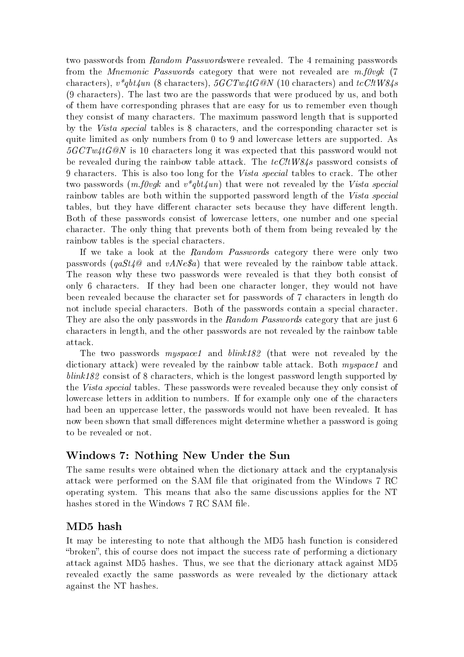two passwords from Random Passwordswere revealed. The 4 remaining passwords from the *Mnemonic Passwords* category that were not revealed are m.f0vgk (7) characters),  $v^*qbt4un$  (8 characters),  $5GCTw4tG@N$  (10 characters) and  $tcC/tW84s$ (9 characters). The last two are the passwords that were produced by us, and both of them have corresponding phrases that are easy for us to remember even though they consist of many characters. The maximum password length that is supported by the Vista special tables is 8 characters, and the corresponding character set is quite limited as only numbers from 0 to 9 and lowercase letters are supported. As  $5GCTw4tG@N$  is 10 characters long it was expected that this password would not be revealed during the rainbow table attack. The  $tcC/tW84s$  password consists of 9 characters. This is also too long for the Vista special tables to crack. The other two passwords  $(m, f0vqk$  and  $v * qbt4un)$  that were not revealed by the Vista special rainbow tables are both within the supported password length of the Vista special tables, but they have different character sets because they have different length. Both of these passwords consist of lowercase letters, one number and one special character. The only thing that prevents both of them from being revealed by the rainbow tables is the special characters.

If we take a look at the Random Passwords category there were only two passwords ( $qast4@$  and  $vANe@$ ) that were revealed by the rainbow table attack. The reason why these two passwords were revealed is that they both consist of only 6 characters. If they had been one character longer, they would not have been revealed because the character set for passwords of 7 characters in length do not include special characters. Both of the passwords contain a special character. They are also the only passwords in the Random Passwords category that are just 6 characters in length, and the other passwords are not revealed by the rainbow table attack.

The two passwords myspace1 and blink182 (that were not revealed by the dictionary attack) were revealed by the rainbow table attack. Both *muspace1* and blink182 consist of 8 characters, which is the longest password length supported by the Vista special tables. These passwords were revealed because they only consist of lowercase letters in addition to numbers. If for example only one of the characters had been an uppercase letter, the passwords would not have been revealed. It has now been shown that small differences might determine whether a password is going to be revealed or not.

## Windows 7: Nothing New Under the Sun

The same results were obtained when the dictionary attack and the cryptanalysis attack were performed on the SAM file that originated from the Windows 7 RC operating system. This means that also the same discussions applies for the NT hashes stored in the Windows 7 RC SAM file.

## MD5 hash

It may be interesting to note that although the MD5 hash function is considered "broken", this of course does not impact the success rate of performing a dictionary attack against MD5 hashes. Thus, we see that the dicrionary attack against MD5 revealed exactly the same passwords as were revealed by the dictionary attack against the NT hashes.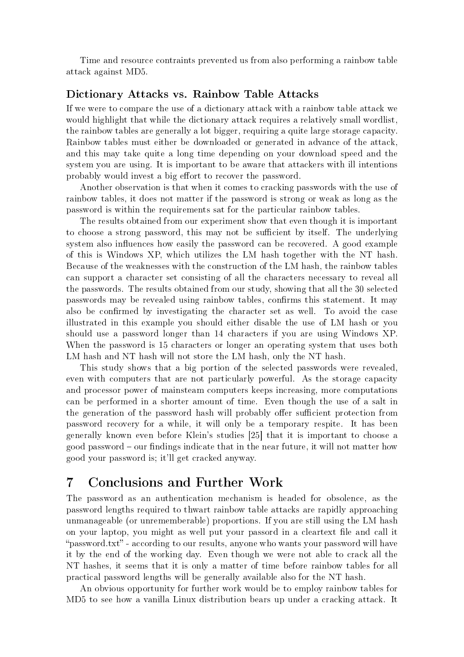Time and resource contraints prevented us from also performing a rainbow table attack against MD5.

#### Dictionary Attacks vs. Rainbow Table Attacks

If we were to compare the use of a dictionary attack with a rainbow table attack we would highlight that while the dictionary attack requires a relatively small wordlist, the rainbow tables are generally a lot bigger, requiring a quite large storage capacity. Rainbow tables must either be downloaded or generated in advance of the attack, and this may take quite a long time depending on your download speed and the system you are using. It is important to be aware that attackers with ill intentions probably would invest a big effort to recover the password.

Another observation is that when it comes to cracking passwords with the use of rainbow tables, it does not matter if the password is strong or weak as long as the password is within the requirements sat for the particular rainbow tables.

The results obtained from our experiment show that even though it is important to choose a strong password, this may not be sufficient by itself. The underlying system also influences how easily the password can be recovered. A good example of this is Windows XP, which utilizes the LM hash together with the NT hash. Because of the weaknesses with the construction of the LM hash, the rainbow tables can support a character set consisting of all the characters necessary to reveal all the passwords. The results obtained from our study, showing that all the 30 selected passwords may be revealed using rainbow tables, confirms this statement. It may also be confirmed by investigating the character set as well. To avoid the case illustrated in this example you should either disable the use of LM hash or you should use a password longer than 14 characters if you are using Windows XP. When the password is 15 characters or longer an operating system that uses both LM hash and NT hash will not store the LM hash, only the NT hash.

This study shows that a big portion of the selected passwords were revealed, even with computers that are not particularly powerful. As the storage capacity and processor power of mainsteam computers keeps increasing, more computations can be performed in a shorter amount of time. Even though the use of a salt in the generation of the password hash will probably offer sufficient protection from password recovery for a while, it will only be a temporary respite. It has been generally known even before Klein's studies [25] that it is important to choose a good password  $\sim$  our findings indicate that in the near future, it will not matter how good your password is; it'll get cracked anyway.

# 7 Conclusions and Further Work

The password as an authentication mechanism is headed for obsolence, as the password lengths required to thwart rainbow table attacks are rapidly approaching unmanageable (or unrememberable) proportions. If you are still using the LM hash on your laptop, you might as well put your passord in a cleartext file and call it "password.txt" - according to our results, anyone who wants your password will have it by the end of the working day. Even though we were not able to crack all the NT hashes, it seems that it is only a matter of time before rainbow tables for all practical password lengths will be generally available also for the NT hash.

An obvious opportunity for further work would be to employ rainbow tables for MD5 to see how a vanilla Linux distribution bears up under a cracking attack. It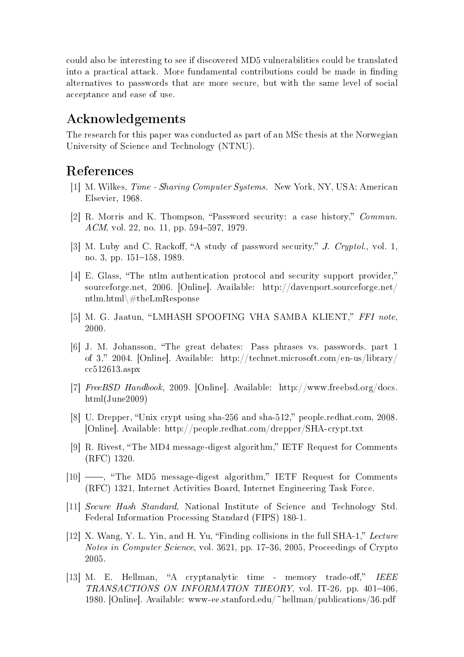could also be interesting to see if discovered MD5 vulnerabilities could be translated into a practical attack. More fundamental contributions could be made in finding alternatives to passwords that are more secure, but with the same level of social acceptance and ease of use.

# Acknowledgements

The research for this paper was conducted as part of an MSc thesis at the Norwegian University of Science and Technology (NTNU).

## References

- [1] M. Wilkes, Time Sharing Computer Systems. New York, NY, USA: American Elsevier, 1968.
- [2] R. Morris and K. Thompson, Password security: a case history, Commun. ACM, vol. 22, no. 11, pp. 594-597, 1979.
- [3] M. Luby and C. Rackoff, "A study of password security," J. Cryptol., vol. 1, no. 3, pp.  $151-158$ , 1989.
- [4] E. Glass, The ntlm authentication protocol and security support provider, sourceforge.net, 2006. [Online]. Available: http://davenport.sourceforge.net/ ntlm.html\#theLmResponse
- [5] M. G. Jaatun, "LMHASH SPOOFING VHA SAMBA KLIENT," FFI note, 2000.
- [6] J. M. Johansson, The great debates: Pass phrases vs. passwords. part 1 of 3," 2004. [Online]. Available: http://technet.microsoft.com/en-us/library/ cc512613.aspx
- [7] FreeBSD Handbook, 2009. [Online]. Available: http://www.freebsd.org/docs. html(June2009)
- [8] U. Drepper, "Unix crypt using sha-256 and sha-512," people.redhat.com, 2008. [Online]. Available: http://people.redhat.com/drepper/SHA-crypt.txt
- [9] R. Rivest, "The MD4 message-digest algorithm," IETF Request for Comments (RFC) 1320.
- [10] Fig. 4 The MD5 message-digest algorithm," IETF Request for Comments (RFC) 1321, Internet Activities Board, Internet Engineering Task Force.
- [11] Secure Hash Standard, National Institute of Science and Technology Std. Federal Information Processing Standard (FIPS) 180-1.
- [12] X. Wang, Y. L. Yin, and H. Yu, "Finding collisions in the full SHA-1," Lecture Notes in Computer Science, vol. 3621, pp. 17–36, 2005, Proceedings of Crypto 2005.
- [13] M. E. Hellman, "A cryptanalytic time memory trade-off,"  $IEEE$  $TRANSACTIONS ON INFORMATION THEORY, vol. IT-26, pp. 401-406$ 1980. [Online]. Available: www-ee.stanford.edu/~hellman/publications/36.pdf